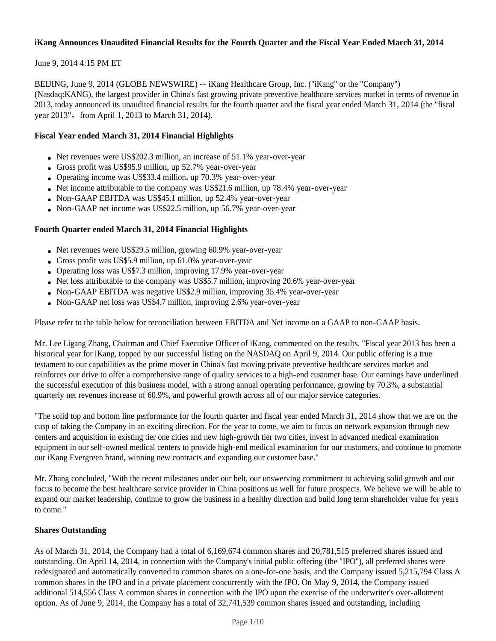## **iKang Announces Unaudited Financial Results for the Fourth Quarter and the Fiscal Year Ended March 31, 2014**

## June 9, 2014 4:15 PM ET

BEIJING, June 9, 2014 (GLOBE NEWSWIRE) -- iKang Healthcare Group, Inc. ("iKang" or the "Company") (Nasdaq:KANG), the largest provider in China's fast growing private preventive healthcare services market in terms of revenue in 2013, today announced its unaudited financial results for the fourth quarter and the fiscal year ended March 31, 2014 (the "fiscal year 2013", from April 1, 2013 to March 31, 2014).

## **Fiscal Year ended March 31, 2014 Financial Highlights**

- Net revenues were US\$202.3 million, an increase of  $51.1\%$  year-over-year
- Gross profit was US\$95.9 million, up  $52.7\%$  year-over-year
- Operating income was US\$33.4 million, up 70.3% year-over-year
- Net income attributable to the company was US\$21.6 million, up  $78.4\%$  year-over-year
- Non-GAAP EBITDA was US\$45.1 million, up 52.4% year-over-year
- Non-GAAP net income was US\$22.5 million, up 56.7% year-over-year

### **Fourth Quarter ended March 31, 2014 Financial Highlights**

- Net revenues were US\$29.5 million, growing 60.9% year-over-year
- Gross profit was US\$5.9 million, up  $61.0\%$  year-over-year
- Operating loss was US\$7.3 million, improving 17.9% year-over-year
- Net loss attributable to the company was US\$5.7 million, improving  $20.6\%$  year-over-year
- Non-GAAP EBITDA was negative US\$2.9 million, improving 35.4% year-over-year
- Non-GAAP net loss was US\$4.7 million, improving 2.6% year-over-year

Please refer to the table below for reconciliation between EBITDA and Net income on a GAAP to non-GAAP basis.

Mr. Lee Ligang Zhang, Chairman and Chief Executive Officer of iKang, commented on the results. "Fiscal year 2013 has been a historical year for iKang, topped by our successful listing on the NASDAQ on April 9, 2014. Our public offering is a true testament to our capabilities as the prime mover in China's fast moving private preventive healthcare services market and reinforces our drive to offer a comprehensive range of quality services to a high-end customer base. Our earnings have underlined the successful execution of this business model, with a strong annual operating performance, growing by 70.3%, a substantial quarterly net revenues increase of 60.9%, and powerful growth across all of our major service categories.

"The solid top and bottom line performance for the fourth quarter and fiscal year ended March 31, 2014 show that we are on the cusp of taking the Company in an exciting direction. For the year to come, we aim to focus on network expansion through new centers and acquisition in existing tier one cities and new high-growth tier two cities, invest in advanced medical examination equipment in our self-owned medical centers to provide high-end medical examination for our customers, and continue to promote our iKang Evergreen brand, winning new contracts and expanding our customer base."

Mr. Zhang concluded, "With the recent milestones under our belt, our unswerving commitment to achieving solid growth and our focus to become the best healthcare service provider in China positions us well for future prospects. We believe we will be able to expand our market leadership, continue to grow the business in a healthy direction and build long term shareholder value for years to come."

### **Shares Outstanding**

As of March 31, 2014, the Company had a total of 6,169,674 common shares and 20,781,515 preferred shares issued and outstanding. On April 14, 2014, in connection with the Company's initial public offering (the "IPO"), all preferred shares were redesignated and automatically converted to common shares on a one-for-one basis, and the Company issued 5,215,794 Class A common shares in the IPO and in a private placement concurrently with the IPO. On May 9, 2014, the Company issued additional 514,556 Class A common shares in connection with the IPO upon the exercise of the underwriter's over-allotment option. As of June 9, 2014, the Company has a total of 32,741,539 common shares issued and outstanding, including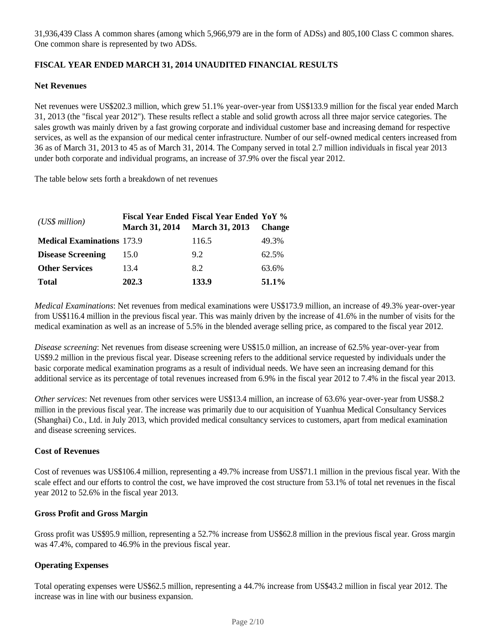31,936,439 Class A common shares (among which 5,966,979 are in the form of ADSs) and 805,100 Class C common shares. One common share is represented by two ADSs.

## **FISCAL YEAR ENDED MARCH 31, 2014 UNAUDITED FINANCIAL RESULTS**

### **Net Revenues**

Net revenues were US\$202.3 million, which grew 51.1% year-over-year from US\$133.9 million for the fiscal year ended March 31, 2013 (the "fiscal year 2012"). These results reflect a stable and solid growth across all three major service categories. The sales growth was mainly driven by a fast growing corporate and individual customer base and increasing demand for respective services, as well as the expansion of our medical center infrastructure. Number of our self-owned medical centers increased from 36 as of March 31, 2013 to 45 as of March 31, 2014. The Company served in total 2.7 million individuals in fiscal year 2013 under both corporate and individual programs, an increase of 37.9% over the fiscal year 2012.

The table below sets forth a breakdown of net revenues

| (US\$ million)                    | <b>March 31, 2014</b> | <b>Fiscal Year Ended Fiscal Year Ended YoY %</b><br><b>March 31, 2013</b> | <b>Change</b> |
|-----------------------------------|-----------------------|---------------------------------------------------------------------------|---------------|
| <b>Medical Examinations 173.9</b> |                       | 116.5                                                                     | 49.3%         |
| <b>Disease Screening</b>          | 15.0                  | 9.2                                                                       | 62.5%         |
| <b>Other Services</b>             | 13.4                  | 8.2                                                                       | 63.6%         |
| <b>Total</b>                      | 202.3                 | 133.9                                                                     | 51.1%         |

*Medical Examinations*: Net revenues from medical examinations were US\$173.9 million, an increase of 49.3% year-over-year from US\$116.4 million in the previous fiscal year. This was mainly driven by the increase of 41.6% in the number of visits for the medical examination as well as an increase of 5.5% in the blended average selling price, as compared to the fiscal year 2012.

*Disease screening*: Net revenues from disease screening were US\$15.0 million, an increase of 62.5% year-over-year from US\$9.2 million in the previous fiscal year. Disease screening refers to the additional service requested by individuals under the basic corporate medical examination programs as a result of individual needs. We have seen an increasing demand for this additional service as its percentage of total revenues increased from 6.9% in the fiscal year 2012 to 7.4% in the fiscal year 2013.

*Other services*: Net revenues from other services were US\$13.4 million, an increase of 63.6% year-over-year from US\$8.2 million in the previous fiscal year. The increase was primarily due to our acquisition of Yuanhua Medical Consultancy Services (Shanghai) Co., Ltd. in July 2013, which provided medical consultancy services to customers, apart from medical examination and disease screening services.

### **Cost of Revenues**

Cost of revenues was US\$106.4 million, representing a 49.7% increase from US\$71.1 million in the previous fiscal year. With the scale effect and our efforts to control the cost, we have improved the cost structure from 53.1% of total net revenues in the fiscal year 2012 to 52.6% in the fiscal year 2013.

### **Gross Profit and Gross Margin**

Gross profit was US\$95.9 million, representing a 52.7% increase from US\$62.8 million in the previous fiscal year. Gross margin was 47.4%, compared to 46.9% in the previous fiscal year.

## **Operating Expenses**

Total operating expenses were US\$62.5 million, representing a 44.7% increase from US\$43.2 million in fiscal year 2012. The increase was in line with our business expansion.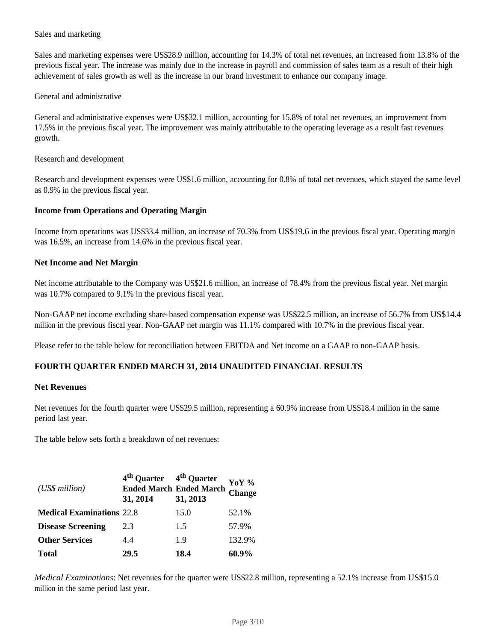## Sales and marketing

Sales and marketing expenses were US\$28.9 million, accounting for 14.3% of total net revenues, an increased from 13.8% of the previous fiscal year. The increase was mainly due to the increase in payroll and commission of sales team as a result of their high achievement of sales growth as well as the increase in our brand investment to enhance our company image.

### General and administrative

General and administrative expenses were US\$32.1 million, accounting for 15.8% of total net revenues, an improvement from 17.5% in the previous fiscal year. The improvement was mainly attributable to the operating leverage as a result fast revenues growth.

Research and development

Research and development expenses were US\$1.6 million, accounting for 0.8% of total net revenues, which stayed the same level as 0.9% in the previous fiscal year.

#### **Income from Operations and Operating Margin**

Income from operations was US\$33.4 million, an increase of 70.3% from US\$19.6 in the previous fiscal year. Operating margin was 16.5%, an increase from 14.6% in the previous fiscal year.

#### **Net Income and Net Margin**

Net income attributable to the Company was US\$21.6 million, an increase of 78.4% from the previous fiscal year. Net margin was 10.7% compared to 9.1% in the previous fiscal year.

Non-GAAP net income excluding share-based compensation expense was US\$22.5 million, an increase of 56.7% from US\$14.4 million in the previous fiscal year. Non-GAAP net margin was 11.1% compared with 10.7% in the previous fiscal year.

Please refer to the table below for reconciliation between EBITDA and Net income on a GAAP to non-GAAP basis.

### **FOURTH QUARTER ENDED MARCH 31, 2014 UNAUDITED FINANCIAL RESULTS**

#### **Net Revenues**

Net revenues for the fourth quarter were US\$29.5 million, representing a 60.9% increase from US\$18.4 million in the same period last year.

The table below sets forth a breakdown of net revenues:

| (US\$ million)                   | 4 <sup>th</sup> Quarter 4 <sup>th</sup> Quarter<br>31, 2014 | <b>Ended March Ended March</b><br>31, 2013 | YoY %<br>Change |
|----------------------------------|-------------------------------------------------------------|--------------------------------------------|-----------------|
| <b>Medical Examinations 22.8</b> |                                                             | 15.0                                       | 52.1%           |
| <b>Disease Screening</b>         | 2.3                                                         | 1.5                                        | 57.9%           |
| <b>Other Services</b>            | 4.4                                                         | 1.9                                        | 132.9%          |
| <b>Total</b>                     | 29.5                                                        | 18.4                                       | 60.9%           |

*Medical Examinations*: Net revenues for the quarter were US\$22.8 million, representing a 52.1% increase from US\$15.0 million in the same period last year.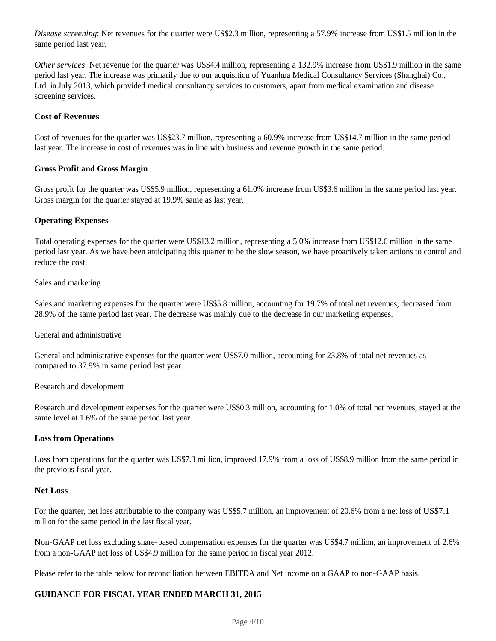*Disease screening*: Net revenues for the quarter were US\$2.3 million, representing a 57.9% increase from US\$1.5 million in the same period last year.

*Other services*: Net revenue for the quarter was US\$4.4 million, representing a 132.9% increase from US\$1.9 million in the same period last year. The increase was primarily due to our acquisition of Yuanhua Medical Consultancy Services (Shanghai) Co., Ltd. in July 2013, which provided medical consultancy services to customers, apart from medical examination and disease screening services.

#### **Cost of Revenues**

Cost of revenues for the quarter was US\$23.7 million, representing a 60.9% increase from US\$14.7 million in the same period last year. The increase in cost of revenues was in line with business and revenue growth in the same period.

#### **Gross Profit and Gross Margin**

Gross profit for the quarter was US\$5.9 million, representing a 61.0% increase from US\$3.6 million in the same period last year. Gross margin for the quarter stayed at 19.9% same as last year.

#### **Operating Expenses**

Total operating expenses for the quarter were US\$13.2 million, representing a 5.0% increase from US\$12.6 million in the same period last year. As we have been anticipating this quarter to be the slow season, we have proactively taken actions to control and reduce the cost.

#### Sales and marketing

Sales and marketing expenses for the quarter were US\$5.8 million, accounting for 19.7% of total net revenues, decreased from 28.9% of the same period last year. The decrease was mainly due to the decrease in our marketing expenses.

General and administrative

General and administrative expenses for the quarter were US\$7.0 million, accounting for 23.8% of total net revenues as compared to 37.9% in same period last year.

#### Research and development

Research and development expenses for the quarter were US\$0.3 million, accounting for 1.0% of total net revenues, stayed at the same level at 1.6% of the same period last year.

### **Loss from Operations**

Loss from operations for the quarter was US\$7.3 million, improved 17.9% from a loss of US\$8.9 million from the same period in the previous fiscal year.

#### **Net Loss**

For the quarter, net loss attributable to the company was US\$5.7 million, an improvement of 20.6% from a net loss of US\$7.1 million for the same period in the last fiscal year.

Non-GAAP net loss excluding share-based compensation expenses for the quarter was US\$4.7 million, an improvement of 2.6% from a non-GAAP net loss of US\$4.9 million for the same period in fiscal year 2012.

Please refer to the table below for reconciliation between EBITDA and Net income on a GAAP to non-GAAP basis.

## **GUIDANCE FOR FISCAL YEAR ENDED MARCH 31, 2015**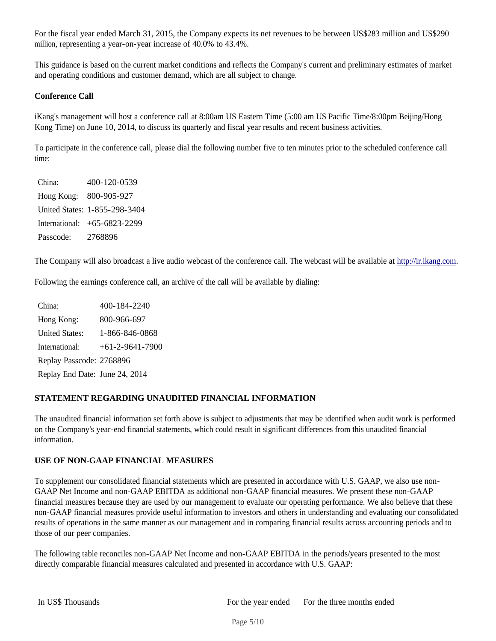For the fiscal year ended March 31, 2015, the Company expects its net revenues to be between US\$283 million and US\$290 million, representing a year-on-year increase of 40.0% to 43.4%.

This guidance is based on the current market conditions and reflects the Company's current and preliminary estimates of market and operating conditions and customer demand, which are all subject to change.

## **Conference Call**

iKang's management will host a conference call at 8:00am US Eastern Time (5:00 am US Pacific Time/8:00pm Beijing/Hong Kong Time) on June 10, 2014, to discuss its quarterly and fiscal year results and recent business activities.

To participate in the conference call, please dial the following number five to ten minutes prior to the scheduled conference call time:

| China:    | 400-120-0539                  |
|-----------|-------------------------------|
|           | Hong Kong: 800-905-927        |
|           | United States: 1-855-298-3404 |
|           | International: +65-6823-2299  |
| Passcode: | 2768896                       |

The Company will also broadcast a live audio webcast of the conference call. The webcast will be available at http://ir.ikang.com.

Following the earnings conference call, an archive of the call will be available by dialing:

China: 400-184-2240 Hong Kong: 800-966-697 United States: 1-866-846-0868 International: +61-2-9641-7900 Replay Passcode: 2768896 Replay End Date: June 24, 2014

## **STATEMENT REGARDING UNAUDITED FINANCIAL INFORMATION**

The unaudited financial information set forth above is subject to adjustments that may be identified when audit work is performed on the Company's year-end financial statements, which could result in significant differences from this unaudited financial information.

### **USE OF NON-GAAP FINANCIAL MEASURES**

To supplement our consolidated financial statements which are presented in accordance with U.S. GAAP, we also use non-GAAP Net Income and non-GAAP EBITDA as additional non-GAAP financial measures. We present these non-GAAP financial measures because they are used by our management to evaluate our operating performance. We also believe that these non-GAAP financial measures provide useful information to investors and others in understanding and evaluating our consolidated results of operations in the same manner as our management and in comparing financial results across accounting periods and to those of our peer companies.

The following table reconciles non-GAAP Net Income and non-GAAP EBITDA in the periods/years presented to the most directly comparable financial measures calculated and presented in accordance with U.S. GAAP: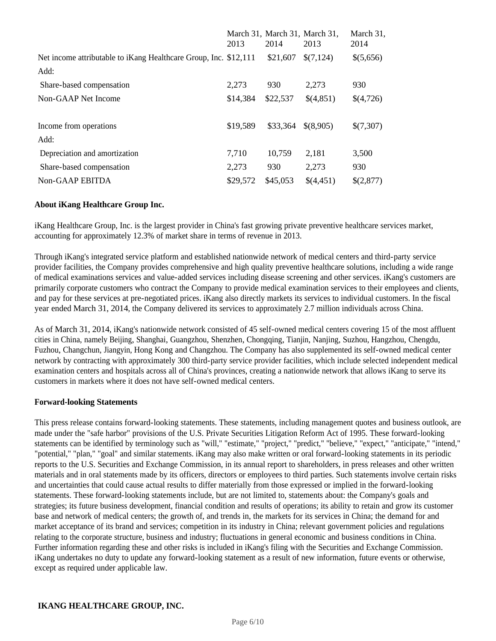|                                                                  | 2013     | 2014     | March 31, March 31, March 31,<br>2013 | March 31,<br>2014 |
|------------------------------------------------------------------|----------|----------|---------------------------------------|-------------------|
| Net income attributable to iKang Healthcare Group, Inc. \$12,111 |          | \$21,607 | \$(7,124)                             | \$(5,656)         |
| Add:                                                             |          |          |                                       |                   |
| Share-based compensation                                         | 2,273    | 930      | 2,273                                 | 930               |
| Non-GAAP Net Income                                              | \$14,384 | \$22,537 | \$(4,851)                             | \$(4,726)         |
|                                                                  |          |          |                                       |                   |
| Income from operations                                           | \$19,589 | \$33,364 | \$(8,905)                             | \$(7,307)         |
| Add:                                                             |          |          |                                       |                   |
| Depreciation and amortization                                    | 7,710    | 10,759   | 2,181                                 | 3,500             |
| Share-based compensation                                         | 2,273    | 930      | 2,273                                 | 930               |
| Non-GAAP EBITDA                                                  | \$29,572 | \$45,053 | \$(4,451)                             | \$(2,877)         |

## **About iKang Healthcare Group Inc.**

iKang Healthcare Group, Inc. is the largest provider in China's fast growing private preventive healthcare services market, accounting for approximately 12.3% of market share in terms of revenue in 2013.

Through iKang's integrated service platform and established nationwide network of medical centers and third-party service provider facilities, the Company provides comprehensive and high quality preventive healthcare solutions, including a wide range of medical examinations services and value-added services including disease screening and other services. iKang's customers are primarily corporate customers who contract the Company to provide medical examination services to their employees and clients, and pay for these services at pre-negotiated prices. iKang also directly markets its services to individual customers. In the fiscal year ended March 31, 2014, the Company delivered its services to approximately 2.7 million individuals across China.

As of March 31, 2014, iKang's nationwide network consisted of 45 self-owned medical centers covering 15 of the most affluent cities in China, namely Beijing, Shanghai, Guangzhou, Shenzhen, Chongqing, Tianjin, Nanjing, Suzhou, Hangzhou, Chengdu, Fuzhou, Changchun, Jiangyin, Hong Kong and Changzhou. The Company has also supplemented its self-owned medical center network by contracting with approximately 300 third-party service provider facilities, which include selected independent medical examination centers and hospitals across all of China's provinces, creating a nationwide network that allows iKang to serve its customers in markets where it does not have self-owned medical centers.

### **Forward-looking Statements**

This press release contains forward-looking statements. These statements, including management quotes and business outlook, are made under the "safe harbor" provisions of the U.S. Private Securities Litigation Reform Act of 1995. These forward-looking statements can be identified by terminology such as "will," "estimate," "project," "predict," "believe," "expect," "anticipate," "intend," "potential," "plan," "goal" and similar statements. iKang may also make written or oral forward-looking statements in its periodic reports to the U.S. Securities and Exchange Commission, in its annual report to shareholders, in press releases and other written materials and in oral statements made by its officers, directors or employees to third parties. Such statements involve certain risks and uncertainties that could cause actual results to differ materially from those expressed or implied in the forward-looking statements. These forward-looking statements include, but are not limited to, statements about: the Company's goals and strategies; its future business development, financial condition and results of operations; its ability to retain and grow its customer base and network of medical centers; the growth of, and trends in, the markets for its services in China; the demand for and market acceptance of its brand and services; competition in its industry in China; relevant government policies and regulations relating to the corporate structure, business and industry; fluctuations in general economic and business conditions in China. Further information regarding these and other risks is included in iKang's filing with the Securities and Exchange Commission. iKang undertakes no duty to update any forward-looking statement as a result of new information, future events or otherwise, except as required under applicable law.

### **IKANG HEALTHCARE GROUP, INC.**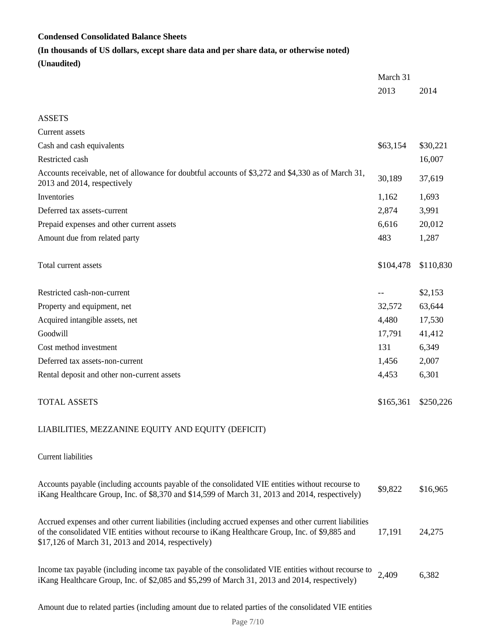## **Condensed Consolidated Balance Sheets**

## **(In thousands of US dollars, except share data and per share data, or otherwise noted)**

**(Unaudited)**

|                                                                                                                                                                                                                                                                    | March 31  |           |
|--------------------------------------------------------------------------------------------------------------------------------------------------------------------------------------------------------------------------------------------------------------------|-----------|-----------|
|                                                                                                                                                                                                                                                                    | 2013      | 2014      |
|                                                                                                                                                                                                                                                                    |           |           |
| <b>ASSETS</b>                                                                                                                                                                                                                                                      |           |           |
| Current assets                                                                                                                                                                                                                                                     |           |           |
| Cash and cash equivalents                                                                                                                                                                                                                                          | \$63,154  | \$30,221  |
| Restricted cash                                                                                                                                                                                                                                                    |           | 16,007    |
| Accounts receivable, net of allowance for doubtful accounts of \$3,272 and \$4,330 as of March 31,<br>2013 and 2014, respectively                                                                                                                                  | 30,189    | 37,619    |
| Inventories                                                                                                                                                                                                                                                        | 1,162     | 1,693     |
| Deferred tax assets-current                                                                                                                                                                                                                                        | 2,874     | 3,991     |
| Prepaid expenses and other current assets                                                                                                                                                                                                                          | 6,616     | 20,012    |
| Amount due from related party                                                                                                                                                                                                                                      | 483       | 1,287     |
| Total current assets                                                                                                                                                                                                                                               | \$104,478 | \$110,830 |
| Restricted cash-non-current                                                                                                                                                                                                                                        |           | \$2,153   |
| Property and equipment, net                                                                                                                                                                                                                                        | 32,572    | 63,644    |
| Acquired intangible assets, net                                                                                                                                                                                                                                    | 4,480     | 17,530    |
| Goodwill                                                                                                                                                                                                                                                           | 17,791    | 41,412    |
| Cost method investment                                                                                                                                                                                                                                             | 131       | 6,349     |
| Deferred tax assets-non-current                                                                                                                                                                                                                                    | 1,456     | 2,007     |
| Rental deposit and other non-current assets                                                                                                                                                                                                                        | 4,453     | 6,301     |
| <b>TOTAL ASSETS</b>                                                                                                                                                                                                                                                | \$165,361 | \$250,226 |
| LIABILITIES, MEZZANINE EQUITY AND EQUITY (DEFICIT)                                                                                                                                                                                                                 |           |           |
| Current liabilities                                                                                                                                                                                                                                                |           |           |
| Accounts payable (including accounts payable of the consolidated VIE entities without recourse to<br>iKang Healthcare Group, Inc. of \$8,370 and \$14,599 of March 31, 2013 and 2014, respectively)                                                                | \$9,822   | \$16,965  |
| Accrued expenses and other current liabilities (including accrued expenses and other current liabilities<br>of the consolidated VIE entities without recourse to iKang Healthcare Group, Inc. of \$9,885 and<br>\$17,126 of March 31, 2013 and 2014, respectively) | 17,191    | 24,275    |
| Income tax payable (including income tax payable of the consolidated VIE entities without recourse to<br>iKang Healthcare Group, Inc. of \$2,085 and \$5,299 of March 31, 2013 and 2014, respectively)                                                             | 2,409     | 6,382     |

Amount due to related parties (including amount due to related parties of the consolidated VIE entities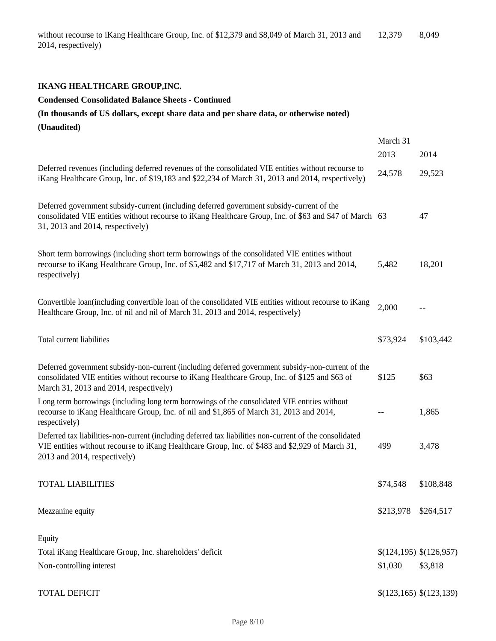## **IKANG HEALTHCARE GROUP,INC.**

#### **Condensed Consolidated Balance Sheets - Continued**

# **(In thousands of US dollars, except share data and per share data, or otherwise noted) (Unaudited)**

|                                                                                                                                                                                                                                                | March 31<br>2013 | 2014                    |
|------------------------------------------------------------------------------------------------------------------------------------------------------------------------------------------------------------------------------------------------|------------------|-------------------------|
| Deferred revenues (including deferred revenues of the consolidated VIE entities without recourse to<br>iKang Healthcare Group, Inc. of \$19,183 and \$22,234 of March 31, 2013 and 2014, respectively)                                         | 24,578           | 29,523                  |
| Deferred government subsidy-current (including deferred government subsidy-current of the<br>consolidated VIE entities without recourse to iKang Healthcare Group, Inc. of \$63 and \$47 of March 63<br>31, 2013 and 2014, respectively)       |                  | 47                      |
| Short term borrowings (including short term borrowings of the consolidated VIE entities without<br>recourse to iKang Healthcare Group, Inc. of \$5,482 and \$17,717 of March 31, 2013 and 2014,<br>respectively)                               | 5,482            | 18,201                  |
| Convertible loan(including convertible loan of the consolidated VIE entities without recourse to iKang<br>Healthcare Group, Inc. of nil and nil of March 31, 2013 and 2014, respectively)                                                      | 2,000            | $-$                     |
| Total current liabilities                                                                                                                                                                                                                      | \$73,924         | \$103,442               |
| Deferred government subsidy-non-current (including deferred government subsidy-non-current of the<br>consolidated VIE entities without recourse to iKang Healthcare Group, Inc. of \$125 and \$63 of<br>March 31, 2013 and 2014, respectively) | \$125            | \$63                    |
| Long term borrowings (including long term borrowings of the consolidated VIE entities without<br>recourse to iKang Healthcare Group, Inc. of nil and \$1,865 of March 31, 2013 and 2014,<br>respectively)                                      |                  | 1,865                   |
| Deferred tax liabilities-non-current (including deferred tax liabilities non-current of the consolidated<br>VIE entities without recourse to iKang Healthcare Group, Inc. of \$483 and \$2,929 of March 31,<br>2013 and 2014, respectively)    | 499              | 3,478                   |
| <b>TOTAL LIABILITIES</b>                                                                                                                                                                                                                       | \$74,548         | \$108,848               |
| Mezzanine equity                                                                                                                                                                                                                               | \$213,978        | \$264,517               |
| Equity                                                                                                                                                                                                                                         |                  |                         |
| Total iKang Healthcare Group, Inc. shareholders' deficit                                                                                                                                                                                       |                  | \$(124,195) \$(126,957) |
| Non-controlling interest                                                                                                                                                                                                                       | \$1,030          | \$3,818                 |
| <b>TOTAL DEFICIT</b>                                                                                                                                                                                                                           |                  | \$(123,165) \$(123,139) |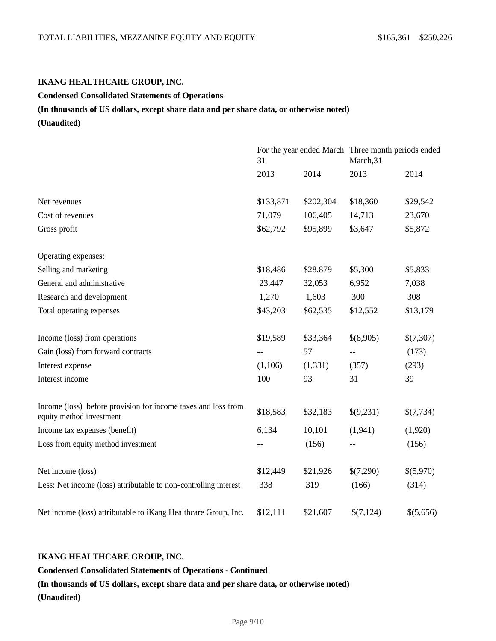#### **IKANG HEALTHCARE GROUP, INC.**

#### **Condensed Consolidated Statements of Operations**

#### **(In thousands of US dollars, except share data and per share data, or otherwise noted)**

**(Unaudited)**

|                                                                                           | 31        |           | For the year ended March Three month periods ended<br>March, 31 |           |
|-------------------------------------------------------------------------------------------|-----------|-----------|-----------------------------------------------------------------|-----------|
|                                                                                           | 2013      | 2014      | 2013                                                            | 2014      |
| Net revenues                                                                              | \$133,871 | \$202,304 | \$18,360                                                        | \$29,542  |
| Cost of revenues                                                                          | 71,079    | 106,405   | 14,713                                                          | 23,670    |
| Gross profit                                                                              | \$62,792  | \$95,899  | \$3,647                                                         | \$5,872   |
| Operating expenses:                                                                       |           |           |                                                                 |           |
| Selling and marketing                                                                     | \$18,486  | \$28,879  | \$5,300                                                         | \$5,833   |
| General and administrative                                                                | 23,447    | 32,053    | 6,952                                                           | 7,038     |
| Research and development                                                                  | 1,270     | 1,603     | 300                                                             | 308       |
| Total operating expenses                                                                  | \$43,203  | \$62,535  | \$12,552                                                        | \$13,179  |
| Income (loss) from operations                                                             | \$19,589  | \$33,364  | \$(8,905)                                                       | \$(7,307) |
| Gain (loss) from forward contracts                                                        |           | 57        | $- -$                                                           | (173)     |
| Interest expense                                                                          | (1,106)   | (1, 331)  | (357)                                                           | (293)     |
| Interest income                                                                           | 100       | 93        | 31                                                              | 39        |
| Income (loss) before provision for income taxes and loss from<br>equity method investment | \$18,583  | \$32,183  | \$(9,231)                                                       | \$(7,734) |
| Income tax expenses (benefit)                                                             | 6,134     | 10,101    | (1,941)                                                         | (1,920)   |
| Loss from equity method investment                                                        |           | (156)     |                                                                 | (156)     |
| Net income (loss)                                                                         | \$12,449  | \$21,926  | \$(7,290)                                                       | \$(5,970) |
| Less: Net income (loss) attributable to non-controlling interest                          | 338       | 319       | (166)                                                           | (314)     |
| Net income (loss) attributable to iKang Healthcare Group, Inc.                            | \$12,111  | \$21,607  | \$(7,124)                                                       | \$(5,656) |

## **IKANG HEALTHCARE GROUP, INC.**

**Condensed Consolidated Statements of Operations - Continued**

**(In thousands of US dollars, except share data and per share data, or otherwise noted) (Unaudited)**